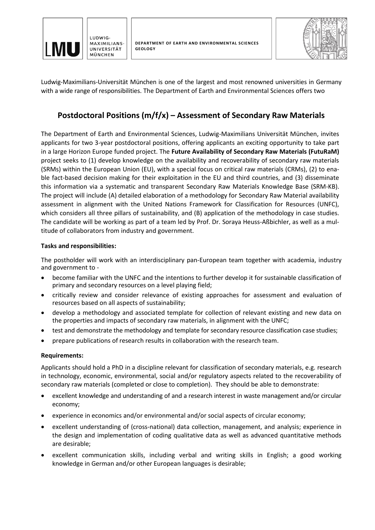



Ludwig-Maximilians-Universität München is one of the largest and most renowned universities in Germany with a wide range of responsibilities. The Department of Earth and Environmental Sciences offers two

# **Postdoctoral Positions (m/f/x) – Assessment of Secondary Raw Materials**

The Department of Earth and Environmental Sciences, Ludwig-Maximilians Universität München, invites applicants for two 3-year postdoctoral positions, offering applicants an exciting opportunity to take part in a large Horizon Europe funded project. The **Future Availability of Secondary Raw Materials (FutuRaM)** project seeks to (1) develop knowledge on the availability and recoverability of secondary raw materials (SRMs) within the European Union (EU), with a special focus on critical raw materials (CRMs), (2) to enable fact-based decision making for their exploitation in the EU and third countries, and (3) disseminate this information via a systematic and transparent Secondary Raw Materials Knowledge Base (SRM-KB). The project will include (A) detailed elaboration of a methodology for Secondary Raw Material availability assessment in alignment with the United Nations Framework for Classification for Resources (UNFC), which considers all three pillars of sustainability, and (B) application of the methodology in case studies. The candidate will be working as part of a team led by Prof. Dr. Soraya Heuss-Aßbichler, as well as a multitude of collaborators from industry and government.

## **Tasks and responsibilities:**

The postholder will work with an interdisciplinary pan-European team together with academia, industry and government to -

- become familiar with the UNFC and the intentions to further develop it for sustainable classification of primary and secondary resources on a level playing field;
- critically review and consider relevance of existing approaches for assessment and evaluation of resources based on all aspects of sustainability;
- develop a methodology and associated template for collection of relevant existing and new data on the properties and impacts of secondary raw materials, in alignment with the UNFC;
- test and demonstrate the methodology and template for secondary resource classification case studies;
- prepare publications of research results in collaboration with the research team.

### **Requirements:**

Applicants should hold a PhD in a discipline relevant for classification of secondary materials, e.g. research in technology, economic, environmental, social and/or regulatory aspects related to the recoverability of secondary raw materials (completed or close to completion). They should be able to demonstrate:

- excellent knowledge and understanding of and a research interest in waste management and/or circular economy;
- experience in economics and/or environmental and/or social aspects of circular economy;
- excellent understanding of (cross-national) data collection, management, and analysis; experience in the design and implementation of coding qualitative data as well as advanced quantitative methods are desirable;
- excellent communication skills, including verbal and writing skills in English; a good working knowledge in German and/or other European languages is desirable;